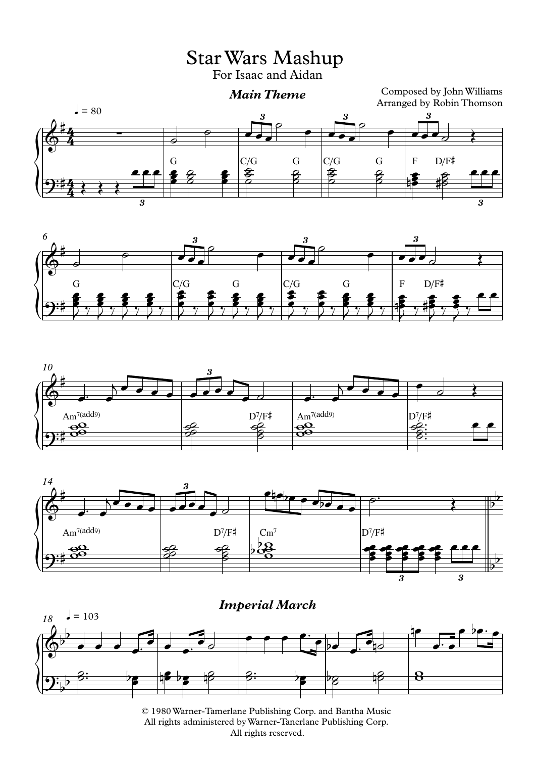StarWars Mashup

For Isaac and Aidan









 $\sqrt{\frac{6}{2}}$ *18*  $= 103$  $\phi^{\flat}$  $\overline{\phantom{0}}$ *Imperial March*  $9\frac{6}{5}$  $\frac{1}{2}$ <sup>œ</sup> <sup>œ</sup> <sup>œ</sup> <sup>œ</sup>™ <sup>œ</sup> <sup>œ</sup> <sup>œ</sup>™ <sup>œ</sup> ˙ e e e com e com de nœ œ™ œ œ bœ™ œ <u>g: </u>  $\frac{1}{2}$  be the b <u>en bezo de est</u>  $\frac{1}{\sqrt{2}}$  be the  $\overline{\mathbf{8}}$ 

© 1980Warner-Tamerlane Publishing Corp. and Bantha Music All rights administered byWarner-Tanerlane Publishing Corp. All rights reserved.